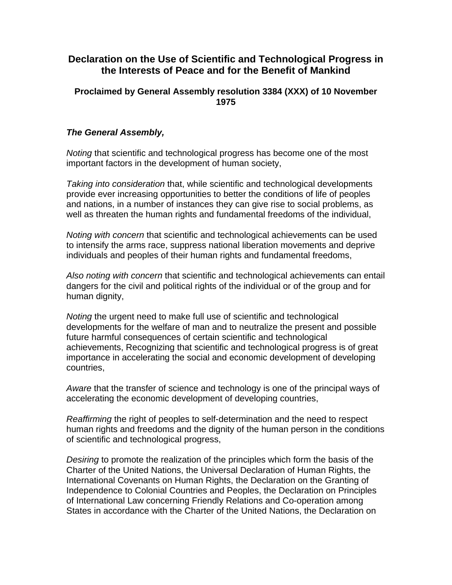## **Declaration on the Use of Scientific and Technological Progress in the Interests of Peace and for the Benefit of Mankind**

## **Proclaimed by General Assembly resolution 3384 (XXX) of 10 November 1975**

## *The General Assembly,*

*Noting* that scientific and technological progress has become one of the most important factors in the development of human society,

*Taking into consideration* that, while scientific and technological developments provide ever increasing opportunities to better the conditions of life of peoples and nations, in a number of instances they can give rise to social problems, as well as threaten the human rights and fundamental freedoms of the individual,

*Noting with concern* that scientific and technological achievements can be used to intensify the arms race, suppress national liberation movements and deprive individuals and peoples of their human rights and fundamental freedoms,

*Also noting with concern* that scientific and technological achievements can entail dangers for the civil and political rights of the individual or of the group and for human dignity,

*Noting* the urgent need to make full use of scientific and technological developments for the welfare of man and to neutralize the present and possible future harmful consequences of certain scientific and technological achievements, Recognizing that scientific and technological progress is of great importance in accelerating the social and economic development of developing countries,

*Aware* that the transfer of science and technology is one of the principal ways of accelerating the economic development of developing countries,

*Reaffirming* the right of peoples to self-determination and the need to respect human rights and freedoms and the dignity of the human person in the conditions of scientific and technological progress,

*Desiring* to promote the realization of the principles which form the basis of the Charter of the United Nations, the Universal Declaration of Human Rights, the International Covenants on Human Rights, the Declaration on the Granting of Independence to Colonial Countries and Peoples, the Declaration on Principles of International Law concerning Friendly Relations and Co-operation among States in accordance with the Charter of the United Nations, the Declaration on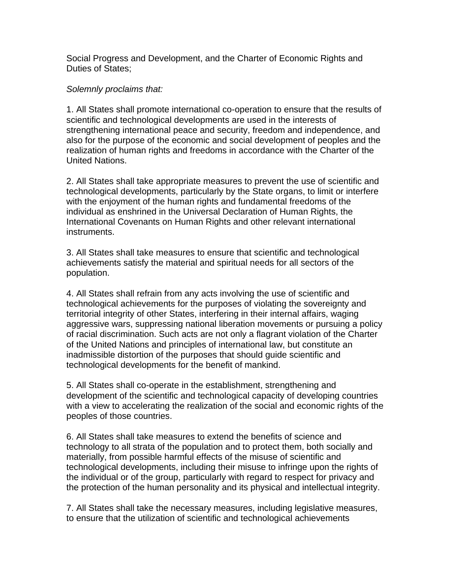Social Progress and Development, and the Charter of Economic Rights and Duties of States;

## *Solemnly proclaims that:*

1. All States shall promote international co-operation to ensure that the results of scientific and technological developments are used in the interests of strengthening international peace and security, freedom and independence, and also for the purpose of the economic and social development of peoples and the realization of human rights and freedoms in accordance with the Charter of the United Nations.

2. All States shall take appropriate measures to prevent the use of scientific and technological developments, particularly by the State organs, to limit or interfere with the enjoyment of the human rights and fundamental freedoms of the individual as enshrined in the Universal Declaration of Human Rights, the International Covenants on Human Rights and other relevant international instruments.

3. All States shall take measures to ensure that scientific and technological achievements satisfy the material and spiritual needs for all sectors of the population.

4. All States shall refrain from any acts involving the use of scientific and technological achievements for the purposes of violating the sovereignty and territorial integrity of other States, interfering in their internal affairs, waging aggressive wars, suppressing national liberation movements or pursuing a policy of racial discrimination. Such acts are not only a flagrant violation of the Charter of the United Nations and principles of international law, but constitute an inadmissible distortion of the purposes that should guide scientific and technological developments for the benefit of mankind.

5. All States shall co-operate in the establishment, strengthening and development of the scientific and technological capacity of developing countries with a view to accelerating the realization of the social and economic rights of the peoples of those countries.

6. All States shall take measures to extend the benefits of science and technology to all strata of the population and to protect them, both socially and materially, from possible harmful effects of the misuse of scientific and technological developments, including their misuse to infringe upon the rights of the individual or of the group, particularly with regard to respect for privacy and the protection of the human personality and its physical and intellectual integrity.

7. All States shall take the necessary measures, including legislative measures, to ensure that the utilization of scientific and technological achievements